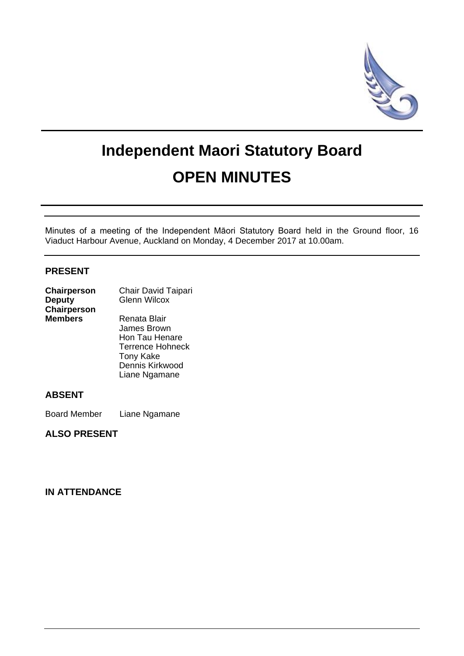

# **Independent Maori Statutory Board OPEN MINUTES**

Minutes of a meeting of the Independent Māori Statutory Board held in the Ground floor, 16 Viaduct Harbour Avenue, Auckland on Monday, 4 December 2017 at 10.00am.

### **PRESENT**

| Chairperson    | Chair David Taipari     |
|----------------|-------------------------|
| <b>Deputy</b>  | <b>Glenn Wilcox</b>     |
| Chairperson    |                         |
| <b>Members</b> | Renata Blair            |
|                | James Brown             |
|                | Hon Tau Henare          |
|                | <b>Terrence Hohneck</b> |

Tony Kake Dennis Kirkwood Liane Ngamane

#### **ABSENT**

Board Member Liane Ngamane

**ALSO PRESENT**

# **IN ATTENDANCE**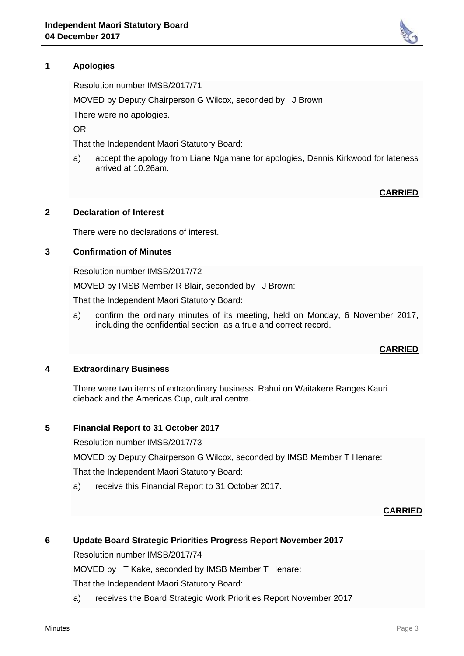

Resolution number IMSB/2017/71

MOVED by Deputy Chairperson G Wilcox, seconded by J Brown:

There were no apologies.

OR

That the Independent Maori Statutory Board:

a) accept the apology from Liane Ngamane for apologies, Dennis Kirkwood for lateness arrived at 10.26am.

**CARRIED**

#### **2 Declaration of Interest**

There were no declarations of interest.

#### **3 Confirmation of Minutes**

Resolution number IMSB/2017/72

MOVED by IMSB Member R Blair, seconded by J Brown:

That the Independent Maori Statutory Board:

a) confirm the ordinary minutes of its meeting, held on Monday, 6 November 2017, including the confidential section, as a true and correct record.

#### **CARRIED**

#### **4 Extraordinary Business**

There were two items of extraordinary business. Rahui on Waitakere Ranges Kauri dieback and the Americas Cup, cultural centre.

#### **5 Financial Report to 31 October 2017**

Resolution number IMSB/2017/73

MOVED by Deputy Chairperson G Wilcox, seconded by IMSB Member T Henare:

That the Independent Maori Statutory Board:

a) receive this Financial Report to 31 October 2017.

#### **CARRIED**

#### **6 Update Board Strategic Priorities Progress Report November 2017**

Resolution number IMSB/2017/74

MOVED by T Kake, seconded by IMSB Member T Henare:

That the Independent Maori Statutory Board:

a) receives the Board Strategic Work Priorities Report November 2017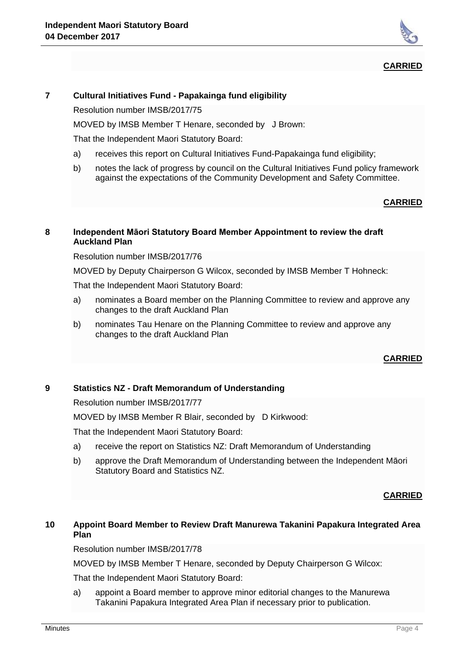

#### **CARRIED**

#### **7 Cultural Initiatives Fund - Papakainga fund eligibility**

Resolution number IMSB/2017/75

MOVED by IMSB Member T Henare, seconded by J Brown:

That the Independent Maori Statutory Board:

- a) receives this report on Cultural Initiatives Fund-Papakainga fund eligibility;
- b) notes the lack of progress by council on the Cultural Initiatives Fund policy framework against the expectations of the Community Development and Safety Committee.

# **CARRIED**

#### **8 Independent Māori Statutory Board Member Appointment to review the draft Auckland Plan**

Resolution number IMSB/2017/76

MOVED by Deputy Chairperson G Wilcox, seconded by IMSB Member T Hohneck:

That the Independent Maori Statutory Board:

- a) nominates a Board member on the Planning Committee to review and approve any changes to the draft Auckland Plan
- b) nominates Tau Henare on the Planning Committee to review and approve any changes to the draft Auckland Plan

#### **CARRIED**

## **9 Statistics NZ - Draft Memorandum of Understanding**

Resolution number IMSB/2017/77

MOVED by IMSB Member R Blair, seconded by D Kirkwood:

That the Independent Maori Statutory Board:

- a) receive the report on Statistics NZ: Draft Memorandum of Understanding
- b) approve the Draft Memorandum of Understanding between the Independent Māori Statutory Board and Statistics NZ.

**CARRIED**

# **10 Appoint Board Member to Review Draft Manurewa Takanini Papakura Integrated Area Plan**

Resolution number IMSB/2017/78

MOVED by IMSB Member T Henare, seconded by Deputy Chairperson G Wilcox:

That the Independent Maori Statutory Board:

a) appoint a Board member to approve minor editorial changes to the Manurewa Takanini Papakura Integrated Area Plan if necessary prior to publication.